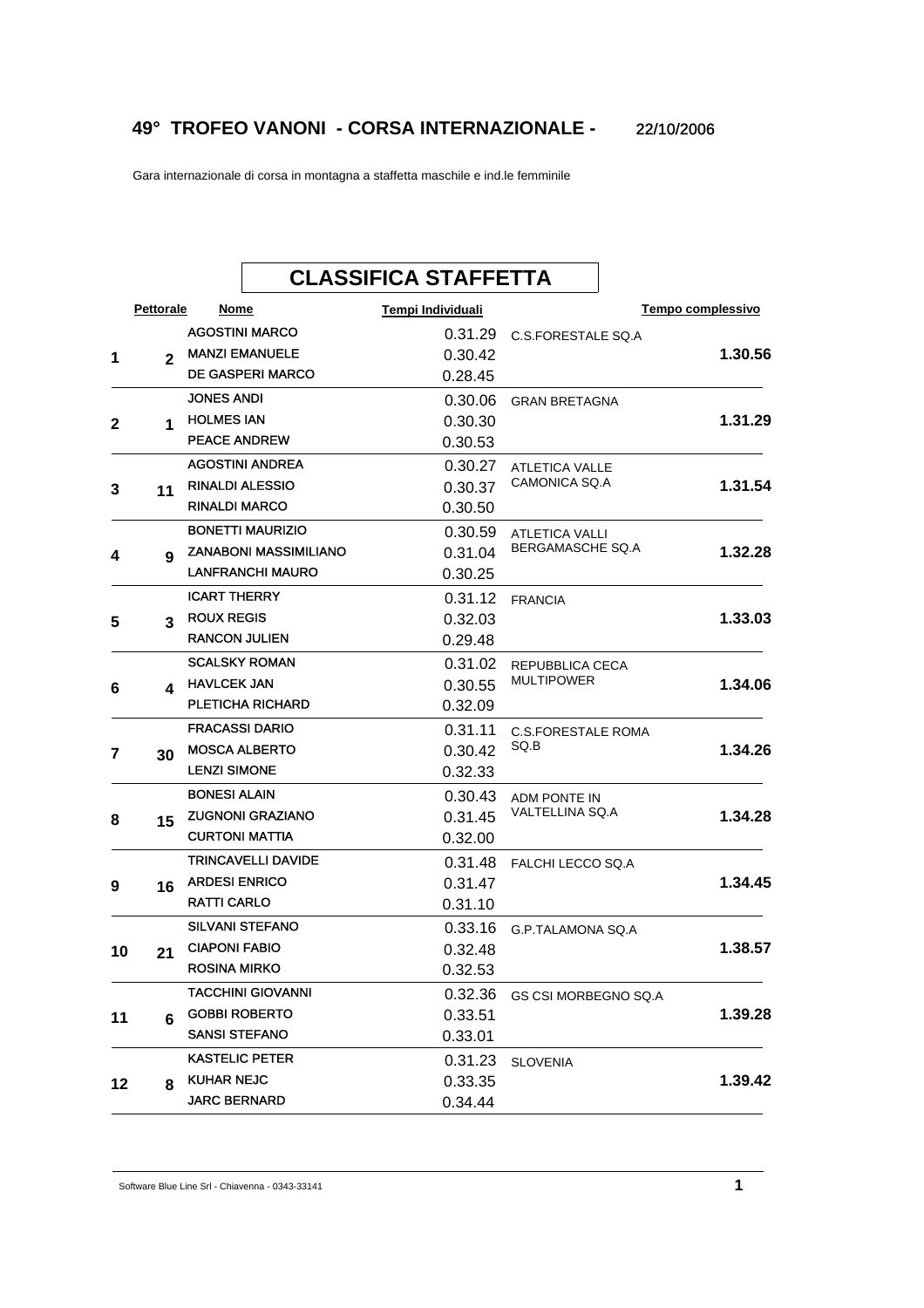## **49° TROFEO VANONI - CORSA INTERNAZIONALE -** 22/10/2006

Gara internazionale di corsa in montagna a staffetta maschile e ind.le femminile

## **CLASSIFICA STAFFETTA Pettorale Nome Tempi Individuali Tempo complessivo 1.30.56** DE GASPERI MARCO **2** MANZI EMANUELE **1** AGOSTINI MARCO **CONFINICIAL CONTRACT CONTRACT ON A CONTRACT CONTRACT CONTRACT CONTRACT CONTRACT CONTRACT CONTR** 0.28.45 0.30.42 **1.31.29** PEACE ANDREW **1** JONES ANDI CONSERVERSION CONTROL ON A CONSERVATION OR GRAN BRETAGNA **2 1** HOLMES IAN 0.30.53 0.30.30 **1.31.54** RINALDI MARCO **11** ATLETICA VALLE CAMONICA SQ.A AGOSTINI ANDREA RINALDI ALESSIO **3** 0.30.50 0.30.27 0.30.37 **1.32.28** LANFRANCHI MAURO **9** ATLETICA VALLI BERGAMASCHE SQ.A BONETTI MAURIZIO ZANABONI MASSIMILIANO **4** 0.30.25 0.30.59 0.31.04 **1.33.03** RANCON JULIEN **3** ICART THERRY **6.31.12** FRANCIA 5 3 ROUX REGIS 0.29.48 0.32.03 **1.34.06** PLETICHA RICHARD **4** HAVLCEK JAN **6** REPUBBLICA CECA MULTIPOWER SCALSKY ROMAN 0.32.09 0.31.02 0.30.55 **1.34.26** LENZI SIMONE **30** 0.31.11 C.S.FORESTALE ROMA SQ.B FRACASSI DARIO MOSCA ALBERTO **7** 0.32.33 0.30.42 **1.34.28** CURTONI MATTIA **15** ZUGNONI GRAZIANO **8** ADM PONTE IN VALTELLINA SQ.A BONESI ALAIN 0.32.00 0.30.43 0.31.45 **1.34.45** RATTI CARLO **16** ARDESI ENRICO **9** TRINCAVELLI DAVIDE **1990 CONVERTS CONTACT AND TRINCAVELLI DAVIDE** 0.31.10 0.31.47 **1.38.57** ROSINA MIRKO **21** SILVANI STEFANO 6.33.16 G.P.TALAMONA SQ.A 10 21 CIAPONI FABIO 0.32.53 0.32.48 **1.39.28** SANSI STEFANO **6** TACCHINI GIOVANNI CHE CONSERVATO DO 1999. A CONTRA CONTRA CONTRA CONTRA CONTRA CONTRA CONTRA CONTRA CONTRA CON GOBBI ROBERTO **11** 0.33.01 0.33.51 **1.39.42** JARC BERNARD **8** KASTELIC PETER **STARTER SLOVENIA** KUHAR NEJC **12** 0.34.44 0.33.35

Software Blue Line Srl - Chiavenna - 0343-33141 **1**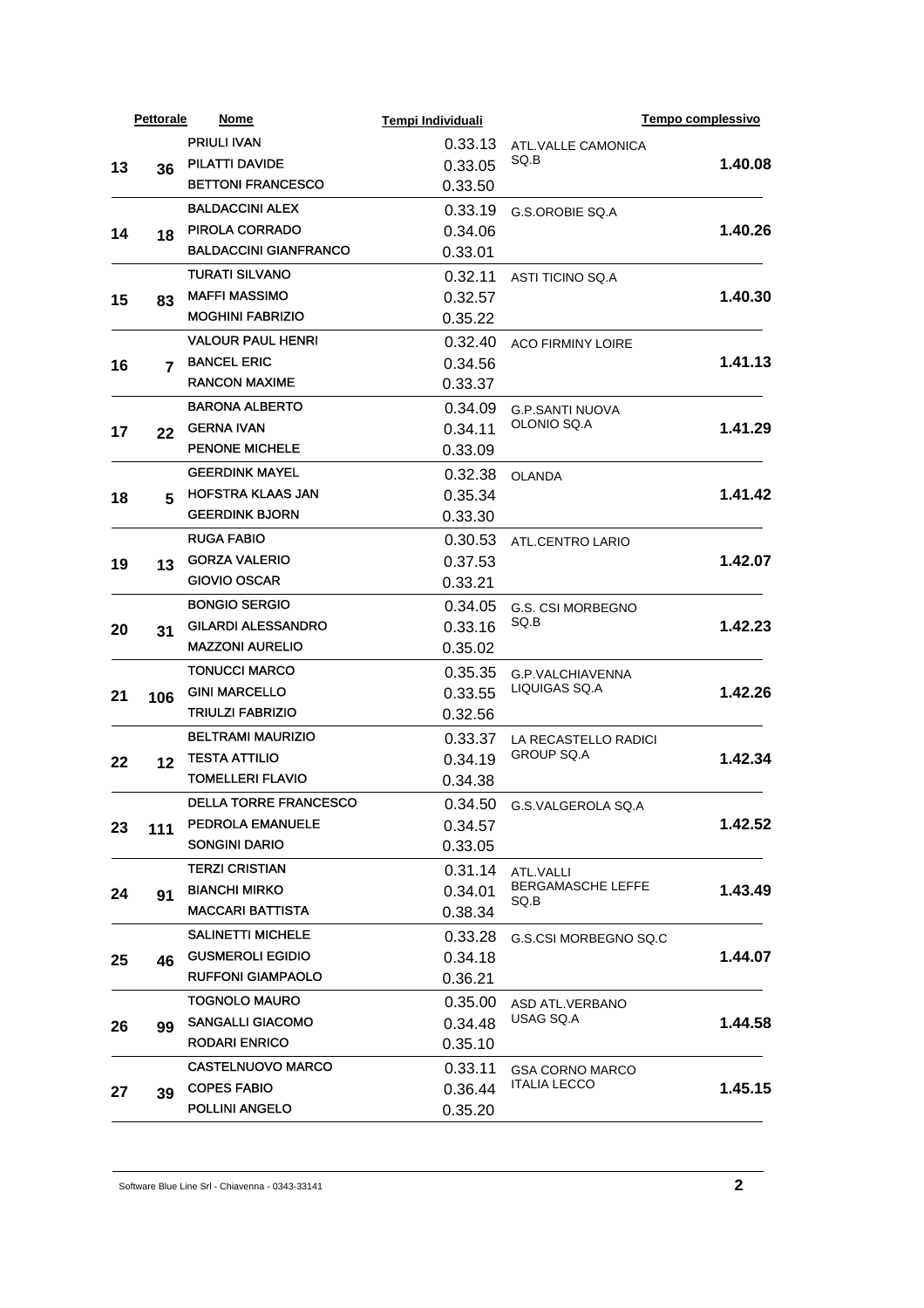| <b>PRIULI IVAN</b><br>0.33.13<br>ATL.VALLE CAMONICA<br>SQ.B<br>PILATTI DAVIDE<br>1.40.08<br>0.33.05<br>13<br>36<br><b>BETTONI FRANCESCO</b><br>0.33.50<br><b>BALDACCINI ALEX</b><br>0.33.19<br>G.S.OROBIE SQ.A<br>PIROLA CORRADO<br>0.34.06<br>14<br>18<br><b>BALDACCINI GIANFRANCO</b><br>0.33.01<br><b>TURATI SILVANO</b><br>0.32.11<br>ASTI TICINO SQ.A<br><b>MAFFI MASSIMO</b><br>0.32.57<br>15<br>83<br><b>MOGHINI FABRIZIO</b><br>0.35.22<br><b>VALOUR PAUL HENRI</b><br>0.32.40<br><b>ACO FIRMINY LOIRE</b><br><b>BANCEL ERIC</b><br>0.34.56<br>16<br>7<br><b>RANCON MAXIME</b><br>0.33.37<br><b>BARONA ALBERTO</b><br>0.34.09<br><b>G.P.SANTI NUOVA</b><br>OLONIO SQ.A<br><b>GERNA IVAN</b><br>0.34.11<br>17<br>22<br><b>PENONE MICHELE</b><br>0.33.09<br><b>GEERDINK MAYEL</b><br>0.32.38<br><b>OLANDA</b><br><b>HOFSTRA KLAAS JAN</b><br>0.35.34<br>18<br>5<br><b>GEERDINK BJORN</b><br>0.33.30<br><b>RUGA FABIO</b><br>0.30.53<br>ATL.CENTRO LARIO<br><b>GORZA VALERIO</b><br>0.37.53<br>19<br>13<br><b>GIOVIO OSCAR</b><br>0.33.21<br><b>BONGIO SERGIO</b><br>0.34.05<br>G.S. CSI MORBEGNO<br>SQ.B<br><b>GILARDI ALESSANDRO</b><br>0.33.16<br>20<br>31<br><b>MAZZONI AURELIO</b><br>0.35.02<br><b>TONUCCI MARCO</b><br>0.35.35<br>G.P.VALCHIAVENNA<br>LIQUIGAS SQ.A<br><b>GINI MARCELLO</b><br>0.33.55<br>21<br>106<br><b>TRIULZI FABRIZIO</b><br>0.32.56<br><b>BELTRAMI MAURIZIO</b><br>0.33.37<br>LA RECASTELLO RADICI<br><b>GROUP SQ.A</b><br><b>TESTA ATTILIO</b><br>0.34.19<br>22<br>12<br><b>TOMELLERI FLAVIO</b><br>0.34.38<br><b>DELLA TORRE FRANCESCO</b><br>0.34.50 G.S.VALGEROLA SQ.A<br>PEDROLA EMANUELE<br>0.34.57<br>23<br>111<br><b>SONGINI DARIO</b><br>0.33.05<br><b>TERZI CRISTIAN</b><br>0.31.14<br>ATL.VALLI<br><b>BERGAMASCHE LEFFE</b><br><b>BIANCHI MIRKO</b><br>0.34.01<br>24<br>91<br>SQ.B<br><b>MACCARI BATTISTA</b><br>0.38.34<br><b>SALINETTI MICHELE</b><br>0.33.28<br>G.S.CSI MORBEGNO SQ.C<br><b>GUSMEROLI EGIDIO</b><br>0.34.18<br>25<br>46<br><b>RUFFONI GIAMPAOLO</b><br>0.36.21<br><b>TOGNOLO MAURO</b><br>0.35.00<br>ASD ATL.VERBANO<br>USAG SQ.A<br><b>SANGALLI GIACOMO</b><br>0.34.48<br>26<br>99<br><b>RODARI ENRICO</b><br>0.35.10<br><b>CASTELNUOVO MARCO</b><br>0.33.11<br><b>GSA CORNO MARCO</b><br><b>ITALIA LECCO</b><br><b>COPES FABIO</b><br>0.36.44<br>27<br>39<br>POLLINI ANGELO<br>0.35.20 |  | <b>Pettorale</b> | Nome | Tempi Individuali |  | Tempo complessivo |
|----------------------------------------------------------------------------------------------------------------------------------------------------------------------------------------------------------------------------------------------------------------------------------------------------------------------------------------------------------------------------------------------------------------------------------------------------------------------------------------------------------------------------------------------------------------------------------------------------------------------------------------------------------------------------------------------------------------------------------------------------------------------------------------------------------------------------------------------------------------------------------------------------------------------------------------------------------------------------------------------------------------------------------------------------------------------------------------------------------------------------------------------------------------------------------------------------------------------------------------------------------------------------------------------------------------------------------------------------------------------------------------------------------------------------------------------------------------------------------------------------------------------------------------------------------------------------------------------------------------------------------------------------------------------------------------------------------------------------------------------------------------------------------------------------------------------------------------------------------------------------------------------------------------------------------------------------------------------------------------------------------------------------------------------------------------------------------------------------------------------------------------------------------------------------------------------------------------------------------------------------------------------------------------------------------------------------------------------------------|--|------------------|------|-------------------|--|-------------------|
|                                                                                                                                                                                                                                                                                                                                                                                                                                                                                                                                                                                                                                                                                                                                                                                                                                                                                                                                                                                                                                                                                                                                                                                                                                                                                                                                                                                                                                                                                                                                                                                                                                                                                                                                                                                                                                                                                                                                                                                                                                                                                                                                                                                                                                                                                                                                                          |  |                  |      |                   |  |                   |
|                                                                                                                                                                                                                                                                                                                                                                                                                                                                                                                                                                                                                                                                                                                                                                                                                                                                                                                                                                                                                                                                                                                                                                                                                                                                                                                                                                                                                                                                                                                                                                                                                                                                                                                                                                                                                                                                                                                                                                                                                                                                                                                                                                                                                                                                                                                                                          |  |                  |      |                   |  |                   |
|                                                                                                                                                                                                                                                                                                                                                                                                                                                                                                                                                                                                                                                                                                                                                                                                                                                                                                                                                                                                                                                                                                                                                                                                                                                                                                                                                                                                                                                                                                                                                                                                                                                                                                                                                                                                                                                                                                                                                                                                                                                                                                                                                                                                                                                                                                                                                          |  |                  |      |                   |  |                   |
|                                                                                                                                                                                                                                                                                                                                                                                                                                                                                                                                                                                                                                                                                                                                                                                                                                                                                                                                                                                                                                                                                                                                                                                                                                                                                                                                                                                                                                                                                                                                                                                                                                                                                                                                                                                                                                                                                                                                                                                                                                                                                                                                                                                                                                                                                                                                                          |  |                  |      |                   |  |                   |
|                                                                                                                                                                                                                                                                                                                                                                                                                                                                                                                                                                                                                                                                                                                                                                                                                                                                                                                                                                                                                                                                                                                                                                                                                                                                                                                                                                                                                                                                                                                                                                                                                                                                                                                                                                                                                                                                                                                                                                                                                                                                                                                                                                                                                                                                                                                                                          |  |                  |      |                   |  | 1.40.26           |
|                                                                                                                                                                                                                                                                                                                                                                                                                                                                                                                                                                                                                                                                                                                                                                                                                                                                                                                                                                                                                                                                                                                                                                                                                                                                                                                                                                                                                                                                                                                                                                                                                                                                                                                                                                                                                                                                                                                                                                                                                                                                                                                                                                                                                                                                                                                                                          |  |                  |      |                   |  |                   |
|                                                                                                                                                                                                                                                                                                                                                                                                                                                                                                                                                                                                                                                                                                                                                                                                                                                                                                                                                                                                                                                                                                                                                                                                                                                                                                                                                                                                                                                                                                                                                                                                                                                                                                                                                                                                                                                                                                                                                                                                                                                                                                                                                                                                                                                                                                                                                          |  |                  |      |                   |  |                   |
|                                                                                                                                                                                                                                                                                                                                                                                                                                                                                                                                                                                                                                                                                                                                                                                                                                                                                                                                                                                                                                                                                                                                                                                                                                                                                                                                                                                                                                                                                                                                                                                                                                                                                                                                                                                                                                                                                                                                                                                                                                                                                                                                                                                                                                                                                                                                                          |  |                  |      |                   |  | 1.40.30           |
|                                                                                                                                                                                                                                                                                                                                                                                                                                                                                                                                                                                                                                                                                                                                                                                                                                                                                                                                                                                                                                                                                                                                                                                                                                                                                                                                                                                                                                                                                                                                                                                                                                                                                                                                                                                                                                                                                                                                                                                                                                                                                                                                                                                                                                                                                                                                                          |  |                  |      |                   |  |                   |
|                                                                                                                                                                                                                                                                                                                                                                                                                                                                                                                                                                                                                                                                                                                                                                                                                                                                                                                                                                                                                                                                                                                                                                                                                                                                                                                                                                                                                                                                                                                                                                                                                                                                                                                                                                                                                                                                                                                                                                                                                                                                                                                                                                                                                                                                                                                                                          |  |                  |      |                   |  |                   |
|                                                                                                                                                                                                                                                                                                                                                                                                                                                                                                                                                                                                                                                                                                                                                                                                                                                                                                                                                                                                                                                                                                                                                                                                                                                                                                                                                                                                                                                                                                                                                                                                                                                                                                                                                                                                                                                                                                                                                                                                                                                                                                                                                                                                                                                                                                                                                          |  |                  |      |                   |  | 1.41.13           |
|                                                                                                                                                                                                                                                                                                                                                                                                                                                                                                                                                                                                                                                                                                                                                                                                                                                                                                                                                                                                                                                                                                                                                                                                                                                                                                                                                                                                                                                                                                                                                                                                                                                                                                                                                                                                                                                                                                                                                                                                                                                                                                                                                                                                                                                                                                                                                          |  |                  |      |                   |  |                   |
|                                                                                                                                                                                                                                                                                                                                                                                                                                                                                                                                                                                                                                                                                                                                                                                                                                                                                                                                                                                                                                                                                                                                                                                                                                                                                                                                                                                                                                                                                                                                                                                                                                                                                                                                                                                                                                                                                                                                                                                                                                                                                                                                                                                                                                                                                                                                                          |  |                  |      |                   |  |                   |
|                                                                                                                                                                                                                                                                                                                                                                                                                                                                                                                                                                                                                                                                                                                                                                                                                                                                                                                                                                                                                                                                                                                                                                                                                                                                                                                                                                                                                                                                                                                                                                                                                                                                                                                                                                                                                                                                                                                                                                                                                                                                                                                                                                                                                                                                                                                                                          |  |                  |      |                   |  | 1.41.29           |
|                                                                                                                                                                                                                                                                                                                                                                                                                                                                                                                                                                                                                                                                                                                                                                                                                                                                                                                                                                                                                                                                                                                                                                                                                                                                                                                                                                                                                                                                                                                                                                                                                                                                                                                                                                                                                                                                                                                                                                                                                                                                                                                                                                                                                                                                                                                                                          |  |                  |      |                   |  |                   |
|                                                                                                                                                                                                                                                                                                                                                                                                                                                                                                                                                                                                                                                                                                                                                                                                                                                                                                                                                                                                                                                                                                                                                                                                                                                                                                                                                                                                                                                                                                                                                                                                                                                                                                                                                                                                                                                                                                                                                                                                                                                                                                                                                                                                                                                                                                                                                          |  |                  |      |                   |  |                   |
|                                                                                                                                                                                                                                                                                                                                                                                                                                                                                                                                                                                                                                                                                                                                                                                                                                                                                                                                                                                                                                                                                                                                                                                                                                                                                                                                                                                                                                                                                                                                                                                                                                                                                                                                                                                                                                                                                                                                                                                                                                                                                                                                                                                                                                                                                                                                                          |  |                  |      |                   |  | 1.41.42           |
|                                                                                                                                                                                                                                                                                                                                                                                                                                                                                                                                                                                                                                                                                                                                                                                                                                                                                                                                                                                                                                                                                                                                                                                                                                                                                                                                                                                                                                                                                                                                                                                                                                                                                                                                                                                                                                                                                                                                                                                                                                                                                                                                                                                                                                                                                                                                                          |  |                  |      |                   |  |                   |
|                                                                                                                                                                                                                                                                                                                                                                                                                                                                                                                                                                                                                                                                                                                                                                                                                                                                                                                                                                                                                                                                                                                                                                                                                                                                                                                                                                                                                                                                                                                                                                                                                                                                                                                                                                                                                                                                                                                                                                                                                                                                                                                                                                                                                                                                                                                                                          |  |                  |      |                   |  |                   |
|                                                                                                                                                                                                                                                                                                                                                                                                                                                                                                                                                                                                                                                                                                                                                                                                                                                                                                                                                                                                                                                                                                                                                                                                                                                                                                                                                                                                                                                                                                                                                                                                                                                                                                                                                                                                                                                                                                                                                                                                                                                                                                                                                                                                                                                                                                                                                          |  |                  |      |                   |  | 1.42.07           |
|                                                                                                                                                                                                                                                                                                                                                                                                                                                                                                                                                                                                                                                                                                                                                                                                                                                                                                                                                                                                                                                                                                                                                                                                                                                                                                                                                                                                                                                                                                                                                                                                                                                                                                                                                                                                                                                                                                                                                                                                                                                                                                                                                                                                                                                                                                                                                          |  |                  |      |                   |  |                   |
|                                                                                                                                                                                                                                                                                                                                                                                                                                                                                                                                                                                                                                                                                                                                                                                                                                                                                                                                                                                                                                                                                                                                                                                                                                                                                                                                                                                                                                                                                                                                                                                                                                                                                                                                                                                                                                                                                                                                                                                                                                                                                                                                                                                                                                                                                                                                                          |  |                  |      |                   |  |                   |
|                                                                                                                                                                                                                                                                                                                                                                                                                                                                                                                                                                                                                                                                                                                                                                                                                                                                                                                                                                                                                                                                                                                                                                                                                                                                                                                                                                                                                                                                                                                                                                                                                                                                                                                                                                                                                                                                                                                                                                                                                                                                                                                                                                                                                                                                                                                                                          |  |                  |      |                   |  | 1.42.23           |
|                                                                                                                                                                                                                                                                                                                                                                                                                                                                                                                                                                                                                                                                                                                                                                                                                                                                                                                                                                                                                                                                                                                                                                                                                                                                                                                                                                                                                                                                                                                                                                                                                                                                                                                                                                                                                                                                                                                                                                                                                                                                                                                                                                                                                                                                                                                                                          |  |                  |      |                   |  |                   |
|                                                                                                                                                                                                                                                                                                                                                                                                                                                                                                                                                                                                                                                                                                                                                                                                                                                                                                                                                                                                                                                                                                                                                                                                                                                                                                                                                                                                                                                                                                                                                                                                                                                                                                                                                                                                                                                                                                                                                                                                                                                                                                                                                                                                                                                                                                                                                          |  |                  |      |                   |  | 1.42.26           |
|                                                                                                                                                                                                                                                                                                                                                                                                                                                                                                                                                                                                                                                                                                                                                                                                                                                                                                                                                                                                                                                                                                                                                                                                                                                                                                                                                                                                                                                                                                                                                                                                                                                                                                                                                                                                                                                                                                                                                                                                                                                                                                                                                                                                                                                                                                                                                          |  |                  |      |                   |  |                   |
|                                                                                                                                                                                                                                                                                                                                                                                                                                                                                                                                                                                                                                                                                                                                                                                                                                                                                                                                                                                                                                                                                                                                                                                                                                                                                                                                                                                                                                                                                                                                                                                                                                                                                                                                                                                                                                                                                                                                                                                                                                                                                                                                                                                                                                                                                                                                                          |  |                  |      |                   |  |                   |
|                                                                                                                                                                                                                                                                                                                                                                                                                                                                                                                                                                                                                                                                                                                                                                                                                                                                                                                                                                                                                                                                                                                                                                                                                                                                                                                                                                                                                                                                                                                                                                                                                                                                                                                                                                                                                                                                                                                                                                                                                                                                                                                                                                                                                                                                                                                                                          |  |                  |      |                   |  | 1.42.34           |
|                                                                                                                                                                                                                                                                                                                                                                                                                                                                                                                                                                                                                                                                                                                                                                                                                                                                                                                                                                                                                                                                                                                                                                                                                                                                                                                                                                                                                                                                                                                                                                                                                                                                                                                                                                                                                                                                                                                                                                                                                                                                                                                                                                                                                                                                                                                                                          |  |                  |      |                   |  |                   |
|                                                                                                                                                                                                                                                                                                                                                                                                                                                                                                                                                                                                                                                                                                                                                                                                                                                                                                                                                                                                                                                                                                                                                                                                                                                                                                                                                                                                                                                                                                                                                                                                                                                                                                                                                                                                                                                                                                                                                                                                                                                                                                                                                                                                                                                                                                                                                          |  |                  |      |                   |  |                   |
|                                                                                                                                                                                                                                                                                                                                                                                                                                                                                                                                                                                                                                                                                                                                                                                                                                                                                                                                                                                                                                                                                                                                                                                                                                                                                                                                                                                                                                                                                                                                                                                                                                                                                                                                                                                                                                                                                                                                                                                                                                                                                                                                                                                                                                                                                                                                                          |  |                  |      |                   |  |                   |
|                                                                                                                                                                                                                                                                                                                                                                                                                                                                                                                                                                                                                                                                                                                                                                                                                                                                                                                                                                                                                                                                                                                                                                                                                                                                                                                                                                                                                                                                                                                                                                                                                                                                                                                                                                                                                                                                                                                                                                                                                                                                                                                                                                                                                                                                                                                                                          |  |                  |      |                   |  | 1.42.52           |
|                                                                                                                                                                                                                                                                                                                                                                                                                                                                                                                                                                                                                                                                                                                                                                                                                                                                                                                                                                                                                                                                                                                                                                                                                                                                                                                                                                                                                                                                                                                                                                                                                                                                                                                                                                                                                                                                                                                                                                                                                                                                                                                                                                                                                                                                                                                                                          |  |                  |      |                   |  |                   |
|                                                                                                                                                                                                                                                                                                                                                                                                                                                                                                                                                                                                                                                                                                                                                                                                                                                                                                                                                                                                                                                                                                                                                                                                                                                                                                                                                                                                                                                                                                                                                                                                                                                                                                                                                                                                                                                                                                                                                                                                                                                                                                                                                                                                                                                                                                                                                          |  |                  |      |                   |  |                   |
|                                                                                                                                                                                                                                                                                                                                                                                                                                                                                                                                                                                                                                                                                                                                                                                                                                                                                                                                                                                                                                                                                                                                                                                                                                                                                                                                                                                                                                                                                                                                                                                                                                                                                                                                                                                                                                                                                                                                                                                                                                                                                                                                                                                                                                                                                                                                                          |  |                  |      |                   |  | 1.43.49           |
|                                                                                                                                                                                                                                                                                                                                                                                                                                                                                                                                                                                                                                                                                                                                                                                                                                                                                                                                                                                                                                                                                                                                                                                                                                                                                                                                                                                                                                                                                                                                                                                                                                                                                                                                                                                                                                                                                                                                                                                                                                                                                                                                                                                                                                                                                                                                                          |  |                  |      |                   |  |                   |
|                                                                                                                                                                                                                                                                                                                                                                                                                                                                                                                                                                                                                                                                                                                                                                                                                                                                                                                                                                                                                                                                                                                                                                                                                                                                                                                                                                                                                                                                                                                                                                                                                                                                                                                                                                                                                                                                                                                                                                                                                                                                                                                                                                                                                                                                                                                                                          |  |                  |      |                   |  |                   |
|                                                                                                                                                                                                                                                                                                                                                                                                                                                                                                                                                                                                                                                                                                                                                                                                                                                                                                                                                                                                                                                                                                                                                                                                                                                                                                                                                                                                                                                                                                                                                                                                                                                                                                                                                                                                                                                                                                                                                                                                                                                                                                                                                                                                                                                                                                                                                          |  |                  |      |                   |  | 1.44.07           |
|                                                                                                                                                                                                                                                                                                                                                                                                                                                                                                                                                                                                                                                                                                                                                                                                                                                                                                                                                                                                                                                                                                                                                                                                                                                                                                                                                                                                                                                                                                                                                                                                                                                                                                                                                                                                                                                                                                                                                                                                                                                                                                                                                                                                                                                                                                                                                          |  |                  |      |                   |  |                   |
|                                                                                                                                                                                                                                                                                                                                                                                                                                                                                                                                                                                                                                                                                                                                                                                                                                                                                                                                                                                                                                                                                                                                                                                                                                                                                                                                                                                                                                                                                                                                                                                                                                                                                                                                                                                                                                                                                                                                                                                                                                                                                                                                                                                                                                                                                                                                                          |  |                  |      |                   |  |                   |
|                                                                                                                                                                                                                                                                                                                                                                                                                                                                                                                                                                                                                                                                                                                                                                                                                                                                                                                                                                                                                                                                                                                                                                                                                                                                                                                                                                                                                                                                                                                                                                                                                                                                                                                                                                                                                                                                                                                                                                                                                                                                                                                                                                                                                                                                                                                                                          |  |                  |      |                   |  | 1.44.58           |
|                                                                                                                                                                                                                                                                                                                                                                                                                                                                                                                                                                                                                                                                                                                                                                                                                                                                                                                                                                                                                                                                                                                                                                                                                                                                                                                                                                                                                                                                                                                                                                                                                                                                                                                                                                                                                                                                                                                                                                                                                                                                                                                                                                                                                                                                                                                                                          |  |                  |      |                   |  |                   |
|                                                                                                                                                                                                                                                                                                                                                                                                                                                                                                                                                                                                                                                                                                                                                                                                                                                                                                                                                                                                                                                                                                                                                                                                                                                                                                                                                                                                                                                                                                                                                                                                                                                                                                                                                                                                                                                                                                                                                                                                                                                                                                                                                                                                                                                                                                                                                          |  |                  |      |                   |  |                   |
|                                                                                                                                                                                                                                                                                                                                                                                                                                                                                                                                                                                                                                                                                                                                                                                                                                                                                                                                                                                                                                                                                                                                                                                                                                                                                                                                                                                                                                                                                                                                                                                                                                                                                                                                                                                                                                                                                                                                                                                                                                                                                                                                                                                                                                                                                                                                                          |  |                  |      |                   |  | 1.45.15           |
|                                                                                                                                                                                                                                                                                                                                                                                                                                                                                                                                                                                                                                                                                                                                                                                                                                                                                                                                                                                                                                                                                                                                                                                                                                                                                                                                                                                                                                                                                                                                                                                                                                                                                                                                                                                                                                                                                                                                                                                                                                                                                                                                                                                                                                                                                                                                                          |  |                  |      |                   |  |                   |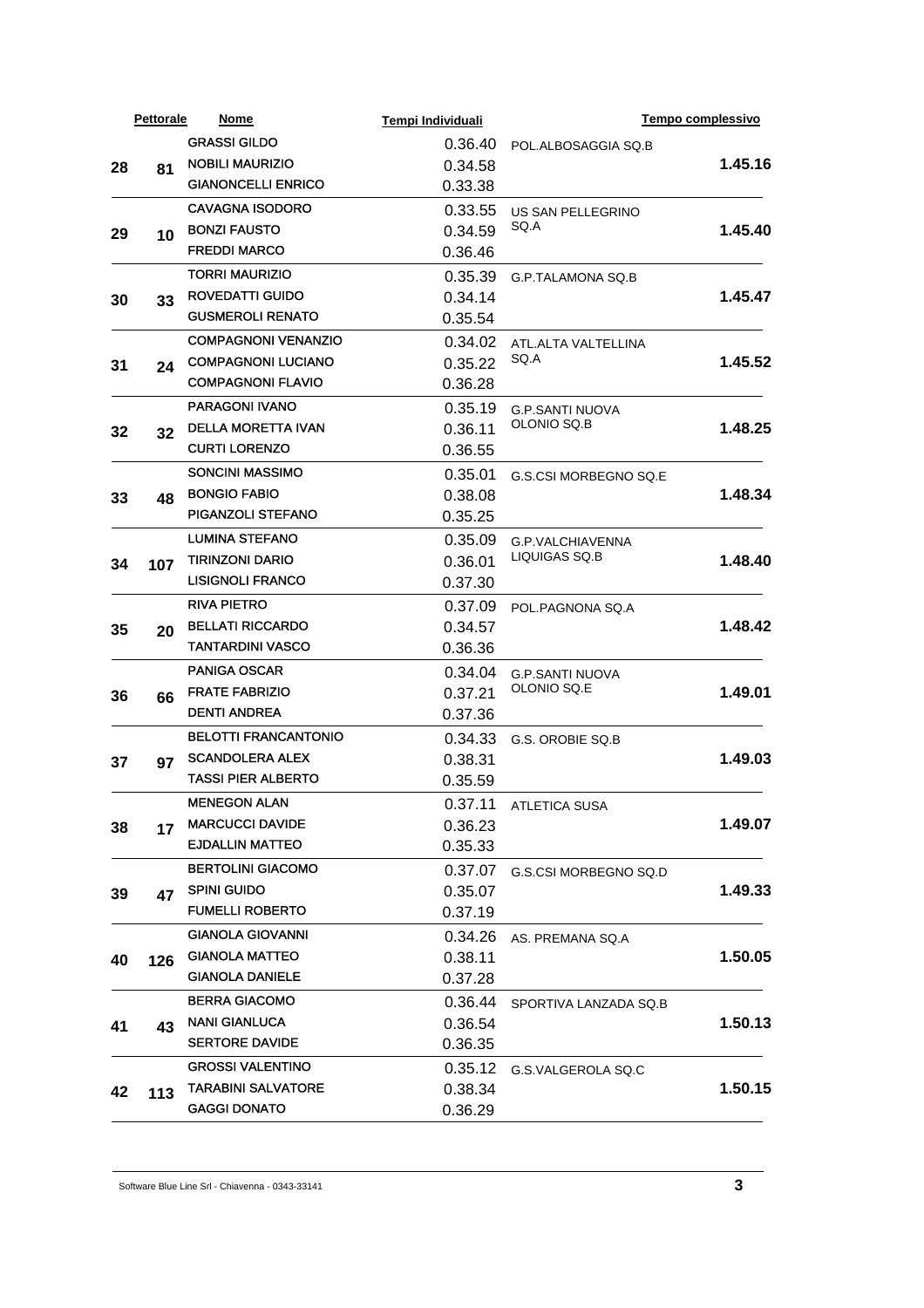|    | <b>Pettorale</b> | <b>Nome</b>                 | Tempi Individuali  |                                       | Tempo complessivo |
|----|------------------|-----------------------------|--------------------|---------------------------------------|-------------------|
|    |                  | <b>GRASSI GILDO</b>         | 0.36.40            | POL.ALBOSAGGIA SQ.B                   |                   |
| 28 | 81               | <b>NOBILI MAURIZIO</b>      | 0.34.58            |                                       | 1.45.16           |
|    |                  | <b>GIANONCELLI ENRICO</b>   | 0.33.38            |                                       |                   |
|    |                  | <b>CAVAGNA ISODORO</b>      | 0.33.55            | US SAN PELLEGRINO                     |                   |
| 29 | 10               | <b>BONZI FAUSTO</b>         | 0.34.59            | SQ.A                                  | 1.45.40           |
|    |                  | <b>FREDDI MARCO</b>         | 0.36.46            |                                       |                   |
|    |                  | <b>TORRI MAURIZIO</b>       | 0.35.39            | <b>G.P.TALAMONA SQ.B</b>              |                   |
| 30 | 33               | <b>ROVEDATTI GUIDO</b>      | 0.34.14            |                                       | 1.45.47           |
|    |                  | <b>GUSMEROLI RENATO</b>     | 0.35.54            |                                       |                   |
|    |                  | <b>COMPAGNONI VENANZIO</b>  | 0.34.02            | ATL.ALTA VALTELLINA                   |                   |
| 31 | 24               | <b>COMPAGNONI LUCIANO</b>   | 0.35.22            | SQ.A                                  | 1.45.52           |
|    |                  | <b>COMPAGNONI FLAVIO</b>    | 0.36.28            |                                       |                   |
|    |                  | <b>PARAGONI IVANO</b>       | 0.35.19            | <b>G.P.SANTI NUOVA</b>                |                   |
| 32 | 32               | <b>DELLA MORETTA IVAN</b>   | 0.36.11            | OLONIO SQ.B                           | 1.48.25           |
|    |                  | <b>CURTI LORENZO</b>        | 0.36.55            |                                       |                   |
|    |                  | <b>SONCINI MASSIMO</b>      | 0.35.01            | G.S.CSI MORBEGNO SQ.E                 |                   |
| 33 |                  | <b>BONGIO FABIO</b>         | 0.38.08            |                                       | 1.48.34           |
|    | 48               | PIGANZOLI STEFANO           | 0.35.25            |                                       |                   |
|    |                  | <b>LUMINA STEFANO</b>       | 0.35.09            | G.P.VALCHIAVENNA                      |                   |
|    | 107              | <b>TIRINZONI DARIO</b>      | 0.36.01            | LIQUIGAS SQ.B                         | 1.48.40           |
| 34 |                  | <b>LISIGNOLI FRANCO</b>     | 0.37.30            |                                       |                   |
|    | 20               | <b>RIVA PIETRO</b>          | 0.37.09            |                                       |                   |
|    |                  | <b>BELLATI RICCARDO</b>     | 0.34.57            | POL.PAGNONA SQ.A                      | 1.48.42           |
| 35 |                  | <b>TANTARDINI VASCO</b>     | 0.36.36            |                                       |                   |
|    |                  | <b>PANIGA OSCAR</b>         |                    |                                       |                   |
|    |                  | <b>FRATE FABRIZIO</b>       | 0.34.04            | <b>G.P.SANTI NUOVA</b><br>OLONIO SQ.E | 1.49.01           |
| 36 | 66               | <b>DENTI ANDREA</b>         | 0.37.21<br>0.37.36 |                                       |                   |
|    |                  | <b>BELOTTI FRANCANTONIO</b> |                    |                                       |                   |
|    |                  | <b>SCANDOLERA ALEX</b>      | 0.34.33            | G.S. OROBIE SO.B                      |                   |
| 37 | 97               | <b>TASSI PIER ALBERTO</b>   | 0.38.31            |                                       | 1.49.03           |
|    |                  |                             | 0.35.59            |                                       |                   |
|    |                  | <b>MENEGON ALAN</b>         |                    | 0.37.11 ATLETICA SUSA                 |                   |
| 38 | 17               | <b>MARCUCCI DAVIDE</b>      | 0.36.23            |                                       | 1.49.07           |
|    |                  | <b>EJDALLIN MATTEO</b>      | 0.35.33            |                                       |                   |
|    |                  | <b>BERTOLINI GIACOMO</b>    | 0.37.07            | G.S.CSI MORBEGNO SQ.D                 |                   |
| 39 | 47               | <b>SPINI GUIDO</b>          | 0.35.07            |                                       | 1.49.33           |
|    |                  | <b>FUMELLI ROBERTO</b>      | 0.37.19            |                                       |                   |
|    |                  | <b>GIANOLA GIOVANNI</b>     | 0.34.26            | AS. PREMANA SQ.A                      |                   |
| 40 | 126              | <b>GIANOLA MATTEO</b>       | 0.38.11            |                                       | 1.50.05           |
|    |                  | <b>GIANOLA DANIELE</b>      | 0.37.28            |                                       |                   |
|    |                  | <b>BERRA GIACOMO</b>        | 0.36.44            | SPORTIVA LANZADA SQ.B                 |                   |
| 41 | 43               | <b>NANI GIANLUCA</b>        | 0.36.54            |                                       | 1.50.13           |
|    |                  | <b>SERTORE DAVIDE</b>       | 0.36.35            |                                       |                   |
|    |                  | <b>GROSSI VALENTINO</b>     | 0.35.12            | G.S.VALGEROLA SQ.C                    |                   |
| 42 | 113              | <b>TARABINI SALVATORE</b>   | 0.38.34            |                                       | 1.50.15           |
|    |                  | <b>GAGGI DONATO</b>         | 0.36.29            |                                       |                   |
|    |                  |                             |                    |                                       |                   |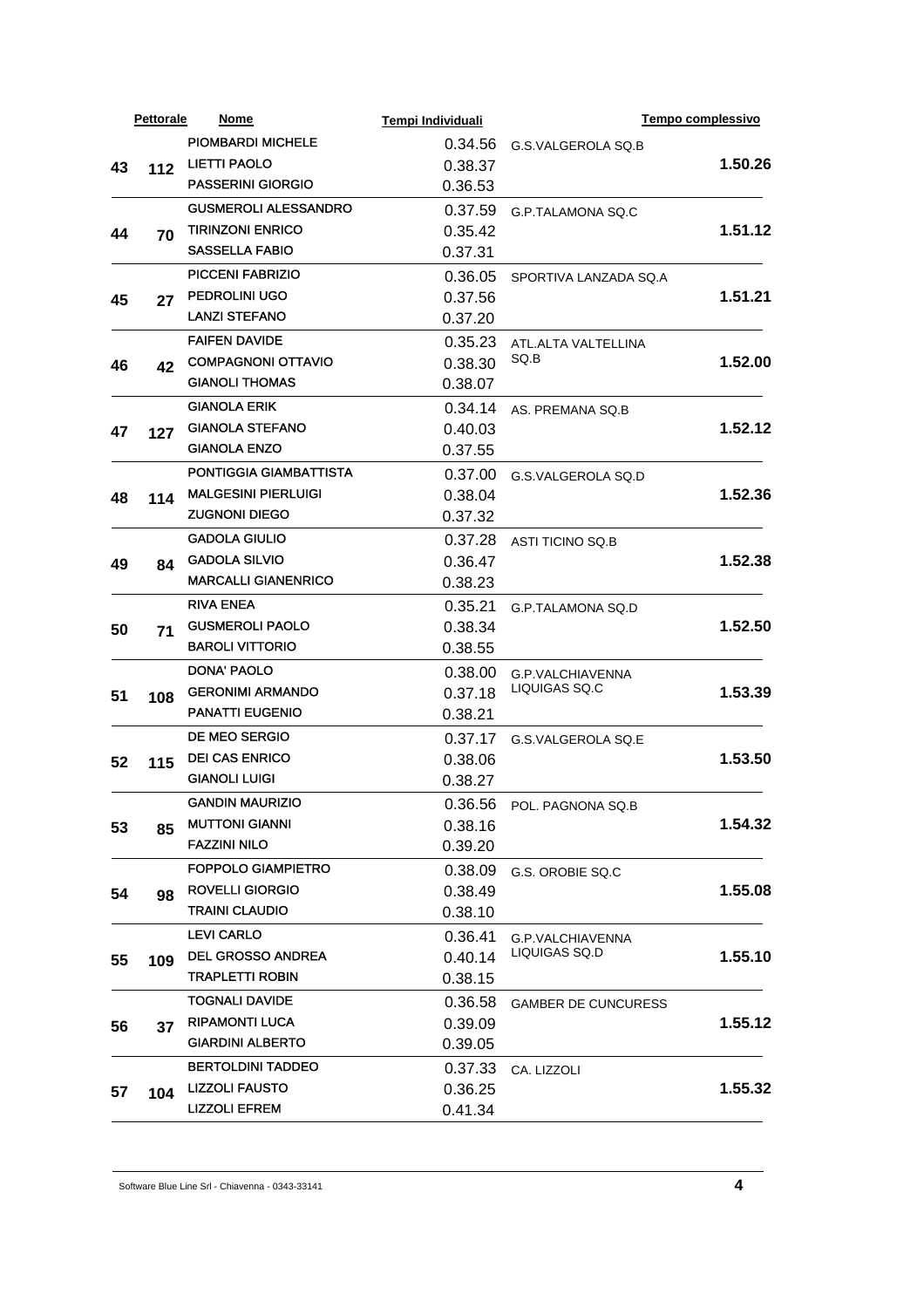|    | <b>Pettorale</b> | <b>Nome</b>                 | Tempi Individuali |                            | Tempo complessivo |
|----|------------------|-----------------------------|-------------------|----------------------------|-------------------|
|    |                  | <b>PIOMBARDI MICHELE</b>    | 0.34.56           | G.S.VALGEROLA SQ.B         |                   |
| 43 | $112$            | <b>LIETTI PAOLO</b>         | 0.38.37           |                            | 1.50.26           |
|    |                  | <b>PASSERINI GIORGIO</b>    | 0.36.53           |                            |                   |
|    |                  | <b>GUSMEROLI ALESSANDRO</b> | 0.37.59           | G.P.TALAMONA SQ.C          |                   |
| 44 | 70               | <b>TIRINZONI ENRICO</b>     | 0.35.42           |                            | 1.51.12           |
|    |                  | <b>SASSELLA FABIO</b>       | 0.37.31           |                            |                   |
|    |                  | <b>PICCENI FABRIZIO</b>     | 0.36.05           | SPORTIVA LANZADA SQ.A      |                   |
| 45 | 27               | <b>PEDROLINI UGO</b>        | 0.37.56           |                            | 1.51.21           |
|    |                  | <b>LANZI STEFANO</b>        | 0.37.20           |                            |                   |
|    |                  | <b>FAIFEN DAVIDE</b>        | 0.35.23           | ATL.ALTA VALTELLINA        |                   |
| 46 | 42               | <b>COMPAGNONI OTTAVIO</b>   | 0.38.30           | SQ.B                       | 1.52.00           |
|    |                  | <b>GIANOLI THOMAS</b>       | 0.38.07           |                            |                   |
|    |                  | <b>GIANOLA ERIK</b>         | 0.34.14           | AS. PREMANA SQ.B           |                   |
| 47 | 127              | <b>GIANOLA STEFANO</b>      | 0.40.03           |                            | 1.52.12           |
|    |                  | <b>GIANOLA ENZO</b>         | 0.37.55           |                            |                   |
|    |                  | PONTIGGIA GIAMBATTISTA      | 0.37.00           | G.S.VALGEROLA SQ.D         |                   |
| 48 | 114              | <b>MALGESINI PIERLUIGI</b>  | 0.38.04           |                            | 1.52.36           |
|    |                  | <b>ZUGNONI DIEGO</b>        | 0.37.32           |                            |                   |
|    |                  | <b>GADOLA GIULIO</b>        | 0.37.28           | <b>ASTI TICINO SQ.B</b>    |                   |
| 49 | 84               | <b>GADOLA SILVIO</b>        | 0.36.47           |                            | 1.52.38           |
|    |                  | <b>MARCALLI GIANENRICO</b>  | 0.38.23           |                            |                   |
|    |                  | <b>RIVA ENEA</b>            | 0.35.21           | G.P.TALAMONA SQ.D          |                   |
| 50 | 71               | <b>GUSMEROLI PAOLO</b>      | 0.38.34           |                            | 1.52.50           |
|    |                  | <b>BAROLI VITTORIO</b>      | 0.38.55           |                            |                   |
|    |                  | <b>DONA' PAOLO</b>          | 0.38.00           | G.P.VALCHIAVENNA           |                   |
| 51 | 108              | <b>GERONIMI ARMANDO</b>     | 0.37.18           | LIQUIGAS SQ.C              | 1.53.39           |
|    |                  | <b>PANATTI EUGENIO</b>      | 0.38.21           |                            |                   |
|    |                  | DE MEO SERGIO               | 0.37.17           | G.S.VALGEROLA SQ.E         |                   |
| 52 | 115              | <b>DEI CAS ENRICO</b>       | 0.38.06           |                            | 1.53.50           |
|    |                  | <b>GIANOLI LUIGI</b>        | 0.38.27           |                            |                   |
|    |                  | <b>GANDIN MAURIZIO</b>      |                   | 0.36.56 POL. PAGNONA SQ.B  |                   |
| 53 | 85               | <b>MUTTONI GIANNI</b>       | 0.38.16           |                            | 1.54.32           |
|    |                  | <b>FAZZINI NILO</b>         | 0.39.20           |                            |                   |
|    |                  | <b>FOPPOLO GIAMPIETRO</b>   | 0.38.09           | G.S. OROBIE SQ.C           |                   |
| 54 | 98               | <b>ROVELLI GIORGIO</b>      | 0.38.49           |                            | 1.55.08           |
|    |                  | <b>TRAINI CLAUDIO</b>       | 0.38.10           |                            |                   |
|    |                  | <b>LEVI CARLO</b>           | 0.36.41           | G.P.VALCHIAVENNA           |                   |
| 55 | 109              | <b>DEL GROSSO ANDREA</b>    | 0.40.14           | LIQUIGAS SQ.D              | 1.55.10           |
|    |                  | <b>TRAPLETTI ROBIN</b>      | 0.38.15           |                            |                   |
|    |                  | <b>TOGNALI DAVIDE</b>       | 0.36.58           | <b>GAMBER DE CUNCURESS</b> |                   |
| 56 | 37               | <b>RIPAMONTI LUCA</b>       | 0.39.09           |                            | 1.55.12           |
|    |                  | <b>GIARDINI ALBERTO</b>     | 0.39.05           |                            |                   |
|    |                  | <b>BERTOLDINI TADDEO</b>    | 0.37.33           | CA. LIZZOLI                |                   |
| 57 | 104              | <b>LIZZOLI FAUSTO</b>       | 0.36.25           |                            | 1.55.32           |
|    |                  | <b>LIZZOLI EFREM</b>        | 0.41.34           |                            |                   |
|    |                  |                             |                   |                            |                   |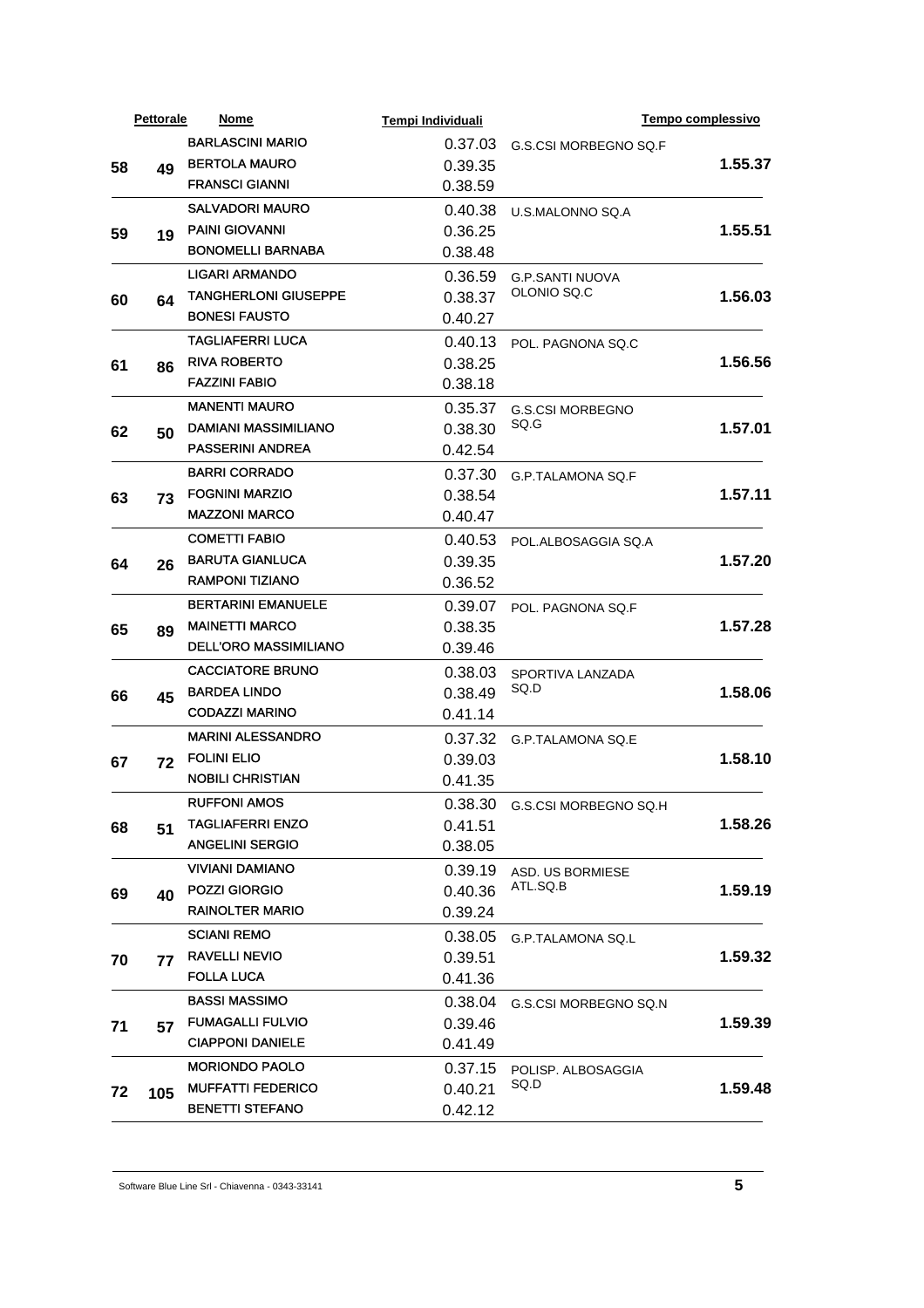|    | <b>Pettorale</b> | Nome                                                  | Tempi Individuali |                               | Tempo complessivo |
|----|------------------|-------------------------------------------------------|-------------------|-------------------------------|-------------------|
|    |                  | <b>BARLASCINI MARIO</b>                               | 0.37.03           | G.S.CSI MORBEGNO SQ.F         |                   |
| 58 | 49               | <b>BERTOLA MAURO</b>                                  | 0.39.35           |                               | 1.55.37           |
|    |                  | <b>FRANSCI GIANNI</b>                                 | 0.38.59           |                               |                   |
|    |                  | <b>SALVADORI MAURO</b>                                | 0.40.38           | U.S.MALONNO SQ.A              |                   |
| 59 | 19               | <b>PAINI GIOVANNI</b>                                 | 0.36.25           |                               | 1.55.51           |
|    |                  | <b>BONOMELLI BARNABA</b>                              | 0.38.48           |                               |                   |
|    |                  | <b>LIGARI ARMANDO</b>                                 | 0.36.59           | <b>G.P.SANTI NUOVA</b>        |                   |
| 60 | 64               | <b>TANGHERLONI GIUSEPPE</b>                           | 0.38.37           | OLONIO SQ.C                   | 1.56.03           |
|    |                  | <b>BONESI FAUSTO</b>                                  | 0.40.27           |                               |                   |
|    |                  | <b>TAGLIAFERRI LUCA</b>                               | 0.40.13           | POL. PAGNONA SQ.C             |                   |
|    |                  | <b>RIVA ROBERTO</b>                                   | 0.38.25           |                               | 1.56.56           |
| 61 | 86               | <b>FAZZINI FABIO</b>                                  | 0.38.18           |                               |                   |
|    |                  | <b>MANENTI MAURO</b>                                  | 0.35.37           | <b>G.S.CSI MORBEGNO</b>       |                   |
|    |                  | DAMIANI MASSIMILIANO                                  | 0.38.30           | SQ.G                          | 1.57.01           |
| 62 | 50               | <b>PASSERINI ANDREA</b>                               | 0.42.54           |                               |                   |
|    |                  | <b>BARRI CORRADO</b>                                  | 0.37.30           |                               |                   |
|    |                  | <b>FOGNINI MARZIO</b>                                 | 0.38.54           | G.P.TALAMONA SQ.F             | 1.57.11           |
| 63 | 73               | <b>MAZZONI MARCO</b>                                  | 0.40.47           |                               |                   |
|    |                  | <b>COMETTI FABIO</b>                                  |                   |                               |                   |
|    |                  | <b>BARUTA GIANLUCA</b>                                | 0.40.53           | POL.ALBOSAGGIA SQ.A           | 1.57.20           |
| 64 | 26               | <b>RAMPONI TIZIANO</b>                                | 0.39.35           |                               |                   |
|    |                  |                                                       | 0.36.52           |                               |                   |
|    | 89               | <b>BERTARINI EMANUELE</b>                             | 0.39.07           | POL. PAGNONA SQ.F             |                   |
| 65 |                  | <b>MAINETTI MARCO</b><br><b>DELL'ORO MASSIMILIANO</b> | 0.38.35           |                               | 1.57.28           |
|    |                  |                                                       | 0.39.46           |                               |                   |
|    |                  | <b>CACCIATORE BRUNO</b>                               | 0.38.03           | SPORTIVA LANZADA<br>SQ.D      |                   |
| 66 | 45               | <b>BARDEA LINDO</b>                                   | 0.38.49           |                               | 1.58.06           |
|    |                  | <b>CODAZZI MARINO</b>                                 | 0.41.14           |                               |                   |
|    |                  | <b>MARINI ALESSANDRO</b>                              | 0.37.32           | G.P.TALAMONA SQ.E             |                   |
| 67 | 72               | <b>FOLINI ELIO</b>                                    | 0.39.03           |                               | 1.58.10           |
|    |                  | <b>NOBILI CHRISTIAN</b>                               | 0.41.35           |                               |                   |
|    |                  | <b>RUFFONI AMOS</b>                                   |                   | 0.38.30 G.S.CSI MORBEGNO SQ.H |                   |
| 68 | 51               | <b>TAGLIAFERRI ENZO</b>                               | 0.41.51           |                               | 1.58.26           |
|    |                  | <b>ANGELINI SERGIO</b>                                | 0.38.05           |                               |                   |
|    |                  | VIVIANI DAMIANO                                       | 0.39.19           | ASD. US BORMIESE              |                   |
| 69 | 40               | <b>POZZI GIORGIO</b>                                  | 0.40.36           | ATL.SQ.B                      | 1.59.19           |
|    |                  | <b>RAINOLTER MARIO</b>                                | 0.39.24           |                               |                   |
|    |                  | <b>SCIANI REMO</b>                                    | 0.38.05           | <b>G.P.TALAMONA SQ.L</b>      |                   |
| 70 | 77               | <b>RAVELLI NEVIO</b>                                  | 0.39.51           |                               | 1.59.32           |
|    |                  | <b>FOLLA LUCA</b>                                     | 0.41.36           |                               |                   |
|    |                  | <b>BASSI MASSIMO</b>                                  | 0.38.04           | G.S.CSI MORBEGNO SQ.N         |                   |
| 71 | 57               | <b>FUMAGALLI FULVIO</b>                               | 0.39.46           |                               | 1.59.39           |
|    |                  | <b>CIAPPONI DANIELE</b>                               | 0.41.49           |                               |                   |
|    |                  | <b>MORIONDO PAOLO</b>                                 | 0.37.15           | POLISP. ALBOSAGGIA            |                   |
| 72 | 105              | <b>MUFFATTI FEDERICO</b>                              | 0.40.21           | SQ.D                          | 1.59.48           |
|    |                  | <b>BENETTI STEFANO</b>                                | 0.42.12           |                               |                   |
|    |                  |                                                       |                   |                               |                   |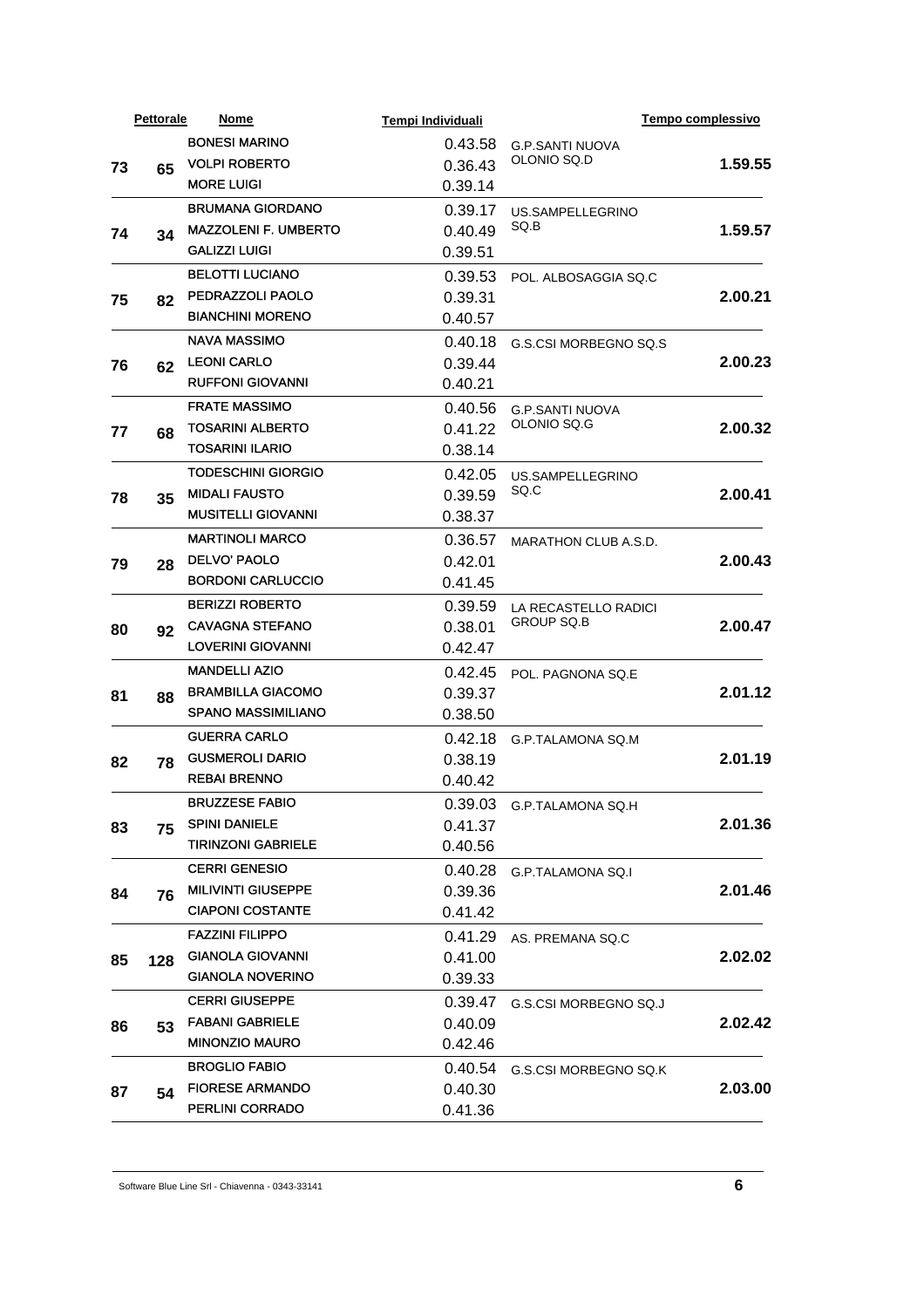|    | <b>Pettorale</b> | Nome                        | Tempi Individuali  |                             | <b>Tempo complessivo</b>                                                                        |
|----|------------------|-----------------------------|--------------------|-----------------------------|-------------------------------------------------------------------------------------------------|
|    |                  | <b>BONESI MARINO</b>        | 0.43.58            | <b>G.P.SANTI NUOVA</b>      |                                                                                                 |
| 73 | 65               | <b>VOLPI ROBERTO</b>        | 0.36.43            | OLONIO SQ.D                 | 1.59.55                                                                                         |
|    |                  | <b>MORE LUIGI</b>           | 0.39.14            |                             |                                                                                                 |
|    |                  | <b>BRUMANA GIORDANO</b>     | 0.39.17            | US.SAMPELLEGRINO            |                                                                                                 |
| 74 | 34               | <b>MAZZOLENI F. UMBERTO</b> | 0.40.49            | SQ.B                        | 1.59.57                                                                                         |
|    |                  | <b>GALIZZI LUIGI</b>        | 0.39.51            |                             |                                                                                                 |
|    |                  | <b>BELOTTI LUCIANO</b>      | 0.39.53            | POL. ALBOSAGGIA SQ.C        |                                                                                                 |
| 75 | 82               | PEDRAZZOLI PAOLO            | 0.39.31            |                             |                                                                                                 |
|    |                  | <b>BIANCHINI MORENO</b>     | 0.40.57            |                             |                                                                                                 |
|    |                  | <b>NAVA MASSIMO</b>         | 0.40.18            | G.S.CSI MORBEGNO SQ.S       |                                                                                                 |
| 76 | 62               | <b>LEONI CARLO</b>          | 0.39.44            |                             |                                                                                                 |
|    |                  | <b>RUFFONI GIOVANNI</b>     | 0.40.21            |                             |                                                                                                 |
|    |                  | <b>FRATE MASSIMO</b>        | 0.40.56            | <b>G.P.SANTI NUOVA</b>      |                                                                                                 |
| 77 | 68               | <b>TOSARINI ALBERTO</b>     | 0.41.22            | OLONIO SQ.G                 |                                                                                                 |
|    |                  | <b>TOSARINI ILARIO</b>      | 0.38.14            |                             |                                                                                                 |
|    |                  | <b>TODESCHINI GIORGIO</b>   | 0.42.05            | US.SAMPELLEGRINO            | 2.00.21<br>2.00.23<br>2.00.32<br>2.00.41<br>2.00.43<br>2.00.47<br>2.01.12<br>2.01.19<br>2.01.36 |
| 78 | 35               | <b>MIDALI FAUSTO</b>        | 0.39.59            | SQ.C                        |                                                                                                 |
|    |                  | <b>MUSITELLI GIOVANNI</b>   | 0.38.37            |                             |                                                                                                 |
|    |                  | <b>MARTINOLI MARCO</b>      | 0.36.57            | <b>MARATHON CLUB A.S.D.</b> |                                                                                                 |
| 79 | 28               | <b>DELVO' PAOLO</b>         | 0.42.01            |                             |                                                                                                 |
|    |                  | <b>BORDONI CARLUCCIO</b>    | 0.41.45            |                             |                                                                                                 |
|    |                  | <b>BERIZZI ROBERTO</b>      | 0.39.59            | LA RECASTELLO RADICI        |                                                                                                 |
| 80 | 92               | <b>CAVAGNA STEFANO</b>      | 0.38.01            | <b>GROUP SQ.B</b>           |                                                                                                 |
|    |                  | <b>LOVERINI GIOVANNI</b>    | 0.42.47            |                             |                                                                                                 |
|    |                  | <b>MANDELLI AZIO</b>        | 0.42.45            | POL. PAGNONA SQ.E           |                                                                                                 |
| 81 | 88               | <b>BRAMBILLA GIACOMO</b>    | 0.39.37            |                             |                                                                                                 |
|    |                  | <b>SPANO MASSIMILIANO</b>   | 0.38.50            |                             |                                                                                                 |
|    |                  | <b>GUERRA CARLO</b>         | 0.42.18            | G.P.TALAMONA SQ.M           |                                                                                                 |
| 82 |                  | <b>GUSMEROLI DARIO</b>      | 0.38.19            |                             |                                                                                                 |
|    | 78               | <b>REBAI BRENNO</b>         | 0.40.42            |                             |                                                                                                 |
|    |                  | <b>BRUZZESE FABIO</b>       |                    | 0.39.03 G.P.TALAMONA SQ.H   |                                                                                                 |
|    |                  | <b>SPINI DANIELE</b>        | 0.41.37            |                             |                                                                                                 |
| 83 | 75               | <b>TIRINZONI GABRIELE</b>   | 0.40.56            |                             |                                                                                                 |
|    |                  | <b>CERRI GENESIO</b>        | 0.40.28            |                             |                                                                                                 |
|    |                  | <b>MILIVINTI GIUSEPPE</b>   | 0.39.36            | <b>G.P.TALAMONA SQ.I</b>    | 2.01.46                                                                                         |
| 84 | 76               | <b>CIAPONI COSTANTE</b>     | 0.41.42            |                             |                                                                                                 |
|    |                  | <b>FAZZINI FILIPPO</b>      | 0.41.29            |                             |                                                                                                 |
|    |                  | <b>GIANOLA GIOVANNI</b>     |                    | AS. PREMANA SQ.C            | 2.02.02                                                                                         |
| 85 | 128              | <b>GIANOLA NOVERINO</b>     | 0.41.00<br>0.39.33 |                             |                                                                                                 |
|    |                  | <b>CERRI GIUSEPPE</b>       |                    |                             |                                                                                                 |
|    |                  | <b>FABANI GABRIELE</b>      | 0.39.47            | G.S.CSI MORBEGNO SQ.J       |                                                                                                 |
| 86 | 53               | <b>MINONZIO MAURO</b>       | 0.40.09            |                             | 2.02.42                                                                                         |
|    |                  |                             | 0.42.46            |                             |                                                                                                 |
|    |                  | <b>BROGLIO FABIO</b>        | 0.40.54            | G.S.CSI MORBEGNO SQ.K       |                                                                                                 |
| 87 | 54               | <b>FIORESE ARMANDO</b>      | 0.40.30            |                             | 2.03.00                                                                                         |
|    |                  | <b>PERLINI CORRADO</b>      | 0.41.36            |                             |                                                                                                 |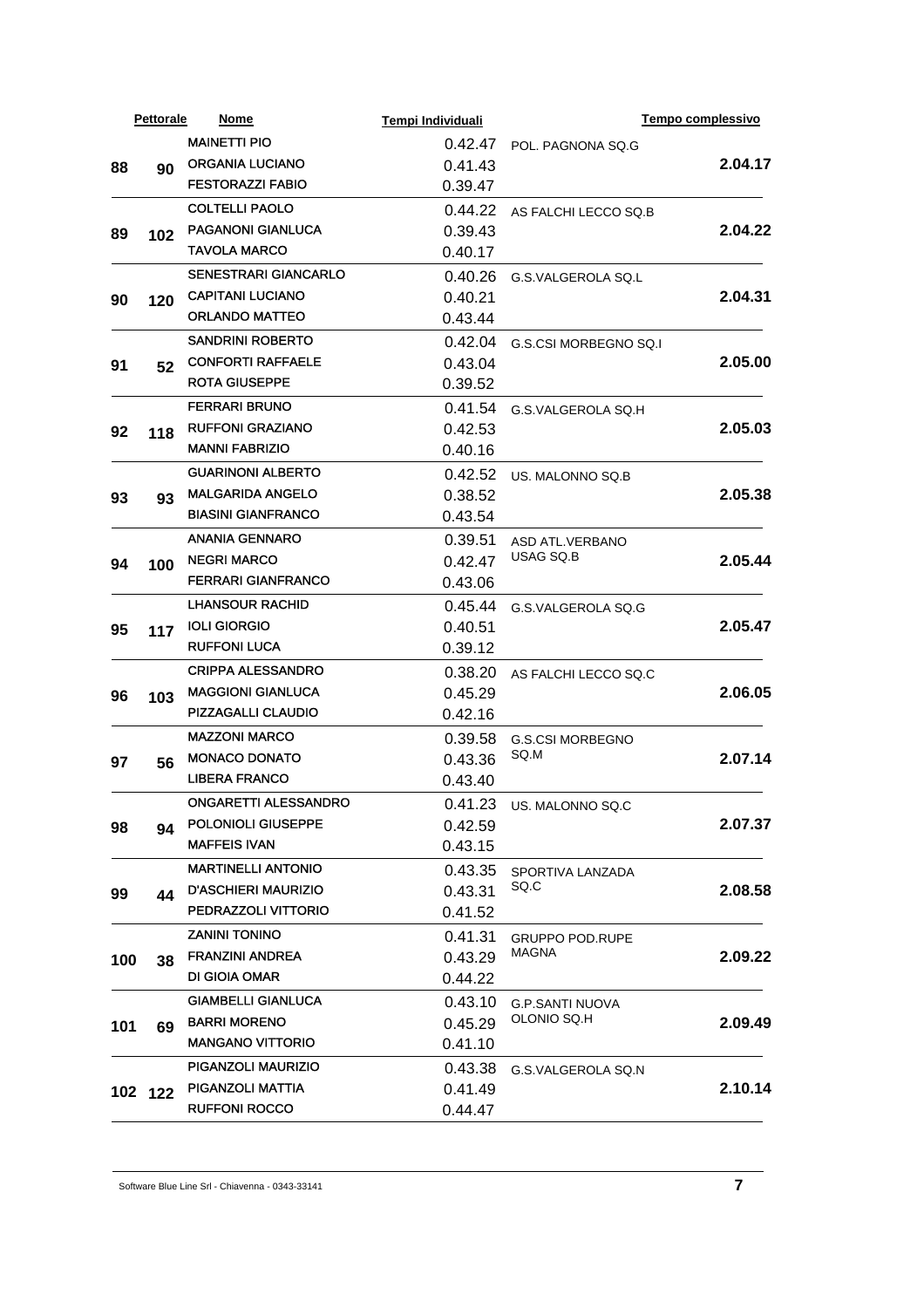|     | <b>Pettorale</b> | Nome                                           | Tempi Individuali  |                                       | Tempo complessivo  |
|-----|------------------|------------------------------------------------|--------------------|---------------------------------------|--------------------|
|     |                  | <b>MAINETTI PIO</b>                            | 0.42.47            | POL. PAGNONA SQ.G                     |                    |
| 88  | 90               | <b>ORGANIA LUCIANO</b>                         | 0.41.43            |                                       | 2.04.17            |
|     |                  | <b>FESTORAZZI FABIO</b>                        | 0.39.47            |                                       |                    |
|     |                  | <b>COLTELLI PAOLO</b>                          | 0.44.22            | AS FALCHI LECCO SQ.B                  |                    |
| 89  | 102              | <b>PAGANONI GIANLUCA</b>                       | 0.39.43            |                                       | 2.04.22            |
|     |                  | <b>TAVOLA MARCO</b>                            | 0.40.17            |                                       |                    |
|     |                  | <b>SENESTRARI GIANCARLO</b>                    | 0.40.26            | G.S.VALGEROLA SQ.L                    |                    |
| 90  | 120              | <b>CAPITANI LUCIANO</b>                        | 0.40.21            |                                       | 2.04.31            |
|     |                  | <b>ORLANDO MATTEO</b>                          | 0.43.44            |                                       |                    |
|     |                  | <b>SANDRINI ROBERTO</b>                        | 0.42.04            | G.S.CSI MORBEGNO SQ.I                 |                    |
| 91  | 52               | <b>CONFORTI RAFFAELE</b>                       | 0.43.04            |                                       | 2.05.00            |
|     |                  | <b>ROTA GIUSEPPE</b>                           | 0.39.52            |                                       |                    |
|     |                  | <b>FERRARI BRUNO</b>                           | 0.41.54            | G.S.VALGEROLA SQ.H                    |                    |
| 92  |                  | <b>RUFFONI GRAZIANO</b>                        | 0.42.53            |                                       | 2.05.03<br>2.05.38 |
|     | 118              | <b>MANNI FABRIZIO</b>                          | 0.40.16            |                                       |                    |
|     |                  | <b>GUARINONI ALBERTO</b>                       | 0.42.52            | US. MALONNO SQ.B                      |                    |
| 93  | 93               | <b>MALGARIDA ANGELO</b>                        | 0.38.52            |                                       |                    |
|     |                  | <b>BIASINI GIANFRANCO</b>                      | 0.43.54            |                                       |                    |
|     |                  | <b>ANANIA GENNARO</b>                          | 0.39.51            | <b>ASD ATL.VERBANO</b>                |                    |
| 94  | 100              | <b>NEGRI MARCO</b>                             | 0.42.47            | USAG SQ.B                             | 2.05.44            |
|     |                  | <b>FERRARI GIANFRANCO</b>                      | 0.43.06            |                                       |                    |
|     |                  | <b>LHANSOUR RACHID</b>                         | 0.45.44            |                                       |                    |
|     |                  | <b>IOLI GIORGIO</b>                            | 0.40.51            | G.S.VALGEROLA SQ.G                    | 2.05.47            |
| 95  | 117              | <b>RUFFONI LUCA</b>                            | 0.39.12            |                                       |                    |
|     |                  | <b>CRIPPA ALESSANDRO</b>                       | 0.38.20            |                                       |                    |
|     | 103              | <b>MAGGIONI GIANLUCA</b>                       | 0.45.29            | AS FALCHI LECCO SQ.C                  | 2.06.05            |
| 96  |                  | <b>PIZZAGALLI CLAUDIO</b>                      | 0.42.16            |                                       |                    |
|     |                  | <b>MAZZONI MARCO</b>                           |                    |                                       |                    |
|     |                  | <b>MONACO DONATO</b>                           | 0.39.58            | <b>G.S.CSI MORBEGNO</b><br>SQ.M       | 2.07.14            |
| 97  | 56               | <b>LIBERA FRANCO</b>                           | 0.43.36<br>0.43.40 |                                       |                    |
|     |                  | <b>ONGARETTI ALESSANDRO</b>                    |                    |                                       |                    |
|     |                  | <b>POLONIOLI GIUSEPPE</b>                      |                    | 0.41.23 US. MALONNO SQ.C              |                    |
| 98  | 94               | <b>MAFFEIS IVAN</b>                            | 0.42.59            |                                       | 2.07.37            |
|     |                  | <b>MARTINELLI ANTONIO</b>                      | 0.43.15            |                                       |                    |
|     |                  | <b>D'ASCHIERI MAURIZIO</b>                     | 0.43.35            | SPORTIVA LANZADA<br>SQ.C              |                    |
| 99  | 44               | PEDRAZZOLI VITTORIO                            | 0.43.31            |                                       | 2.08.58            |
|     |                  | <b>ZANINI TONINO</b>                           | 0.41.52            |                                       |                    |
|     |                  |                                                | 0.41.31            | <b>GRUPPO POD.RUPE</b><br>MAGNA       |                    |
| 100 | 38               | <b>FRANZINI ANDREA</b><br><b>DI GIOIA OMAR</b> | 0.43.29            |                                       | 2.09.22            |
|     |                  |                                                | 0.44.22            |                                       |                    |
|     |                  | <b>GIAMBELLI GIANLUCA</b>                      | 0.43.10            | <b>G.P.SANTI NUOVA</b><br>OLONIO SQ.H |                    |
| 101 | 69               | <b>BARRI MORENO</b>                            | 0.45.29            |                                       | 2.09.49            |
|     |                  | <b>MANGANO VITTORIO</b>                        | 0.41.10            |                                       |                    |
|     |                  | PIGANZOLI MAURIZIO                             | 0.43.38            | G.S.VALGEROLA SQ.N                    |                    |
|     | 102 122          | PIGANZOLI MATTIA                               | 0.41.49            |                                       | 2.10.14            |
|     |                  | <b>RUFFONI ROCCO</b>                           | 0.44.47            |                                       |                    |

Software Blue Line Srl - Chiavenna - 0343-33141 **7**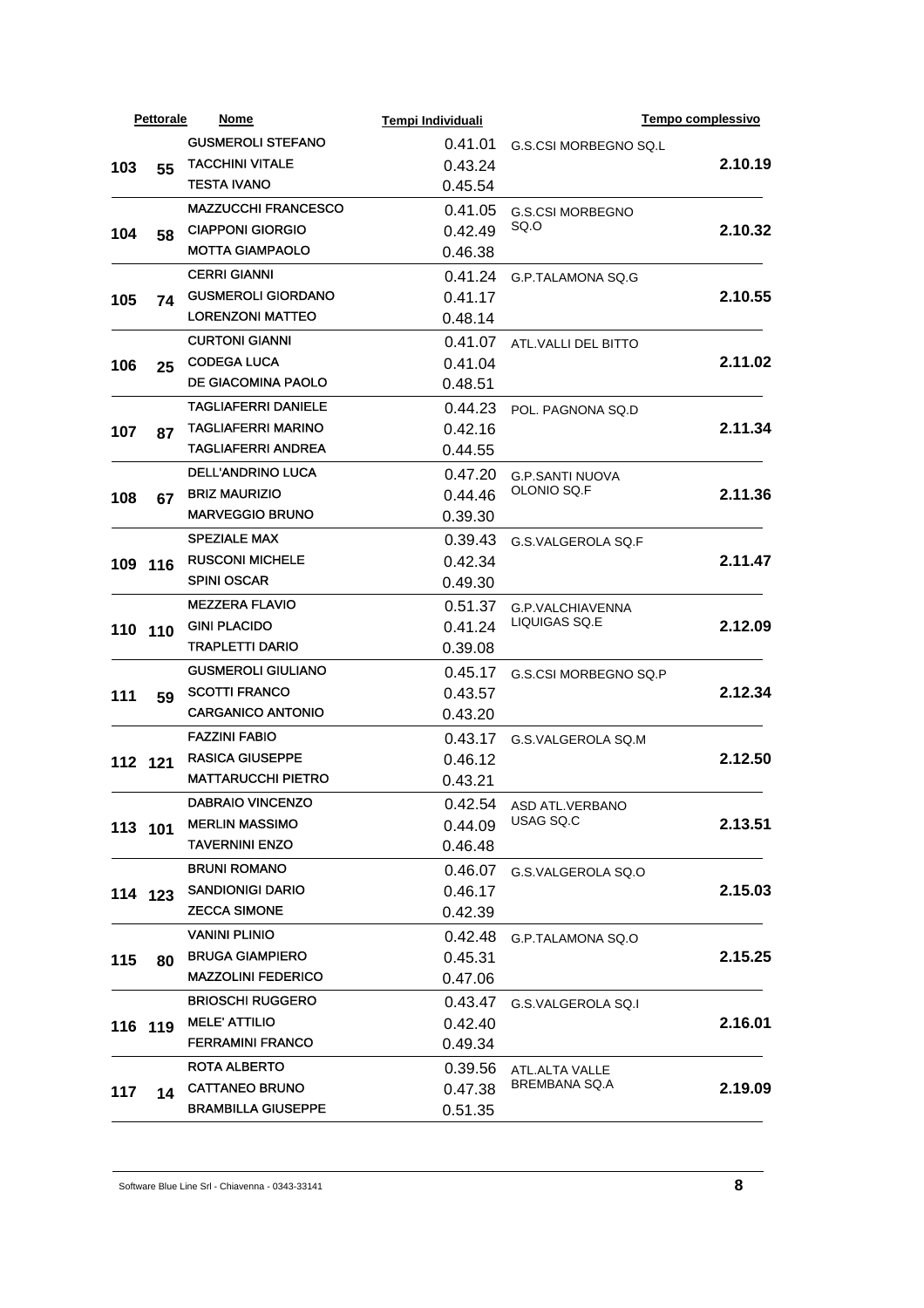|         | <b>Pettorale</b> | Nome                       | Tempi Individuali |                                       |                                                                          |
|---------|------------------|----------------------------|-------------------|---------------------------------------|--------------------------------------------------------------------------|
|         |                  | <b>GUSMEROLI STEFANO</b>   | 0.41.01           | G.S.CSI MORBEGNO SQ.L                 |                                                                          |
| 103     | 55               | <b>TACCHINI VITALE</b>     | 0.43.24           |                                       | 2.10.19                                                                  |
|         |                  | <b>TESTA IVANO</b>         | 0.45.54           |                                       |                                                                          |
|         |                  | <b>MAZZUCCHI FRANCESCO</b> | 0.41.05           | <b>G.S.CSI MORBEGNO</b>               |                                                                          |
| 104     | 58               | <b>CIAPPONI GIORGIO</b>    | 0.42.49           | SQ.O                                  | 2.10.32                                                                  |
|         |                  | <b>MOTTA GIAMPAOLO</b>     | 0.46.38           |                                       |                                                                          |
|         |                  | <b>CERRI GIANNI</b>        | 0.41.24           | G.P.TALAMONA SQ.G                     |                                                                          |
| 105     | 74               | <b>GUSMEROLI GIORDANO</b>  | 0.41.17           |                                       | 2.10.55                                                                  |
|         |                  | <b>LORENZONI MATTEO</b>    | 0.48.14           |                                       |                                                                          |
|         |                  | <b>CURTONI GIANNI</b>      | 0.41.07           | ATL.VALLI DEL BITTO                   |                                                                          |
| 106     |                  | <b>CODEGA LUCA</b>         | 0.41.04           |                                       |                                                                          |
|         | 25               | DE GIACOMINA PAOLO         | 0.48.51           |                                       |                                                                          |
|         |                  | <b>TAGLIAFERRI DANIELE</b> | 0.44.23           |                                       | Tempo complessivo<br>2.11.02<br>2.11.34<br>2.11.36<br>2.11.47<br>2.12.09 |
|         |                  | <b>TAGLIAFERRI MARINO</b>  | 0.42.16           | POL. PAGNONA SQ.D                     |                                                                          |
| 107     | 87               | <b>TAGLIAFERRI ANDREA</b>  | 0.44.55           |                                       |                                                                          |
|         |                  | <b>DELL'ANDRINO LUCA</b>   |                   |                                       |                                                                          |
|         |                  | <b>BRIZ MAURIZIO</b>       | 0.47.20           | <b>G.P.SANTI NUOVA</b><br>OLONIO SQ.F |                                                                          |
| 108     | 67               | <b>MARVEGGIO BRUNO</b>     | 0.44.46           |                                       |                                                                          |
|         |                  |                            | 0.39.30           |                                       |                                                                          |
|         |                  | <b>SPEZIALE MAX</b>        | 0.39.43           | G.S.VALGEROLA SQ.F                    |                                                                          |
|         | 109 116          | <b>RUSCONI MICHELE</b>     | 0.42.34           |                                       |                                                                          |
|         |                  | <b>SPINI OSCAR</b>         | 0.49.30           |                                       |                                                                          |
|         | 110 110          | <b>MEZZERA FLAVIO</b>      | 0.51.37           | G.P.VALCHIAVENNA<br>LIQUIGAS SQ.E     |                                                                          |
|         |                  | <b>GINI PLACIDO</b>        | 0.41.24           |                                       |                                                                          |
|         |                  | <b>TRAPLETTI DARIO</b>     | 0.39.08           |                                       |                                                                          |
|         |                  | <b>GUSMEROLI GIULIANO</b>  | 0.45.17           | G.S.CSI MORBEGNO SQ.P                 |                                                                          |
| 111     | 59               | <b>SCOTTI FRANCO</b>       | 0.43.57           |                                       | 2.12.34                                                                  |
|         |                  | <b>CARGANICO ANTONIO</b>   | 0.43.20           |                                       |                                                                          |
|         |                  | <b>FAZZINI FABIO</b>       | 0.43.17           | G.S.VALGEROLA SQ.M                    | 2.12.50                                                                  |
|         | 112 121          | <b>RASICA GIUSEPPE</b>     | 0.46.12           |                                       |                                                                          |
|         |                  | <b>MATTARUCCHI PIETRO</b>  | 0.43.21           |                                       |                                                                          |
|         |                  | <b>DABRAIO VINCENZO</b>    |                   | 0.42.54 ASD ATL.VERBANO               |                                                                          |
|         | 113 101          | <b>MERLIN MASSIMO</b>      | 0.44.09           | USAG SQ.C                             | 2.13.51                                                                  |
|         |                  | <b>TAVERNINI ENZO</b>      | 0.46.48           |                                       |                                                                          |
|         |                  | <b>BRUNI ROMANO</b>        | 0.46.07           | G.S.VALGEROLA SQ.O                    |                                                                          |
|         | 114 123          | <b>SANDIONIGI DARIO</b>    | 0.46.17           |                                       | 2.15.03                                                                  |
|         |                  | <b>ZECCA SIMONE</b>        | 0.42.39           |                                       |                                                                          |
|         |                  | <b>VANINI PLINIO</b>       | 0.42.48           | G.P.TALAMONA SQ.O                     |                                                                          |
| 115     | 80               | <b>BRUGA GIAMPIERO</b>     | 0.45.31           |                                       | 2.15.25                                                                  |
|         |                  | <b>MAZZOLINI FEDERICO</b>  | 0.47.06           |                                       |                                                                          |
|         |                  | <b>BRIOSCHI RUGGERO</b>    | 0.43.47           | G.S.VALGEROLA SQ.I                    |                                                                          |
| 116 119 |                  | <b>MELE' ATTILIO</b>       | 0.42.40           |                                       | 2.16.01                                                                  |
|         |                  | <b>FERRAMINI FRANCO</b>    | 0.49.34           |                                       |                                                                          |
|         |                  | <b>ROTA ALBERTO</b>        | 0.39.56           | ATL.ALTA VALLE                        |                                                                          |
| 117     | 14               | <b>CATTANEO BRUNO</b>      | 0.47.38           | BREMBANA SQ.A                         | 2.19.09                                                                  |
|         |                  | <b>BRAMBILLA GIUSEPPE</b>  | 0.51.35           |                                       |                                                                          |
|         |                  |                            |                   |                                       |                                                                          |